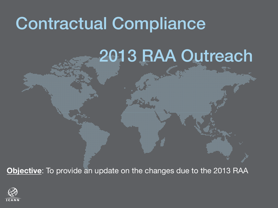### Contractual Compliance

### 2013 RAA Outreach

**Objective**: To provide an update on the changes due to the 2013 RAA

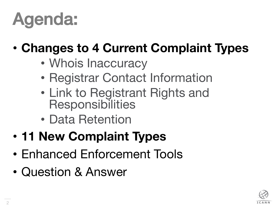## Agenda:

#### • **Changes to 4 Current Complaint Types**

- Whois Inaccuracy
- Registrar Contact Information
- Link to Registrant Rights and **Responsibilities**
- Data Retention
- **11 New Complaint Types**
- Enhanced Enforcement Tools
- Question & Answer

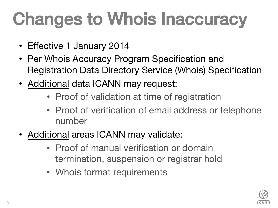# **Changes to Whois Inaccuracy**

- Effective 1 January 2014
- Per Whois Accuracy Program Specification and Registration Data Directory Service (Whois) Specification
- Additional data ICANN may request:
	- Proof of validation at time of registration
	- Proof of verification of email address or telephone number
- Additional areas ICANN may validate:
	- Proof of manual verification or domain termination, suspension or registrar hold
	- Whois format requirements

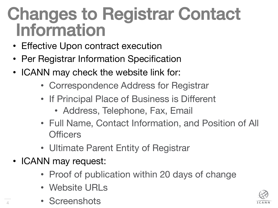#### Changes to Registrar Contact **Information**

- Effective Upon contract execution
- Per Registrar Information Specification
- ICANN may check the website link for:
	- Correspondence Address for Registrar
	- If Principal Place of Business is Different
		- Address, Telephone, Fax, Email
	- Full Name, Contact Information, and Position of All **Officers**
	- Ultimate Parent Entity of Registrar
- ICANN may request:

4

- Proof of publication within 20 days of change
- Website URLs
- Screenshots

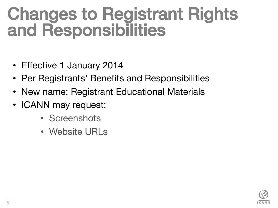#### Changes to Registrant Rights and Responsibilities

- Effective 1 January 2014
- Per Registrants' Benefits and Responsibilities
- New name: Registrant Educational Materials
- ICANN may request:
	- Screenshots
	- Website URLs

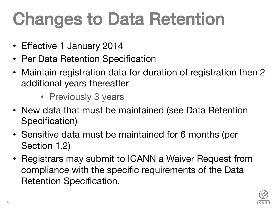## Changes to Data Retention!

- Effective 1 January 2014
- Per Data Retention Specification
- Maintain registration data for duration of registration then 2 additional years thereafter
	- Previously 3 years
- New data that must be maintained (see Data Retention Specification)
- Sensitive data must be maintained for 6 months (per Section 1.2)
- Registrars may submit to ICANN a Waiver Request from compliance with the specific requirements of the Data Retention Specification.

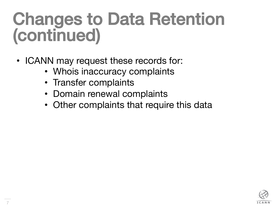## Changes to Data Retention (continued)!

- ICANN may request these records for:
	- Whois inaccuracy complaints
	- Transfer complaints
	- Domain renewal complaints
	- Other complaints that require this data

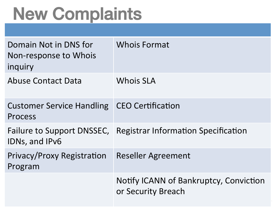## New Complaints!

| Domain Not in DNS for<br>Non-response to Whois<br>inquiry       | <b>Whois Format</b>                                            |
|-----------------------------------------------------------------|----------------------------------------------------------------|
| <b>Abuse Contact Data</b>                                       | <b>Whois SLA</b>                                               |
| <b>Customer Service Handling   CEO Certification</b><br>Process |                                                                |
| IDNs, and IPv6                                                  | Failure to Support DNSSEC, Registrar Information Specification |
| <b>Privacy/Proxy Registration</b><br>Program                    | <b>Reseller Agreement</b>                                      |
|                                                                 | Notify ICANN of Bankruptcy, Conviction<br>or Security Breach   |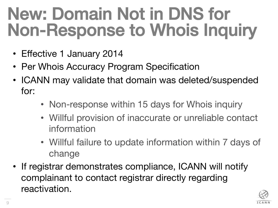## New: Domain Not in DNS for Non-Response to Whois Inquiry!

- Effective 1 January 2014
- Per Whois Accuracy Program Specification
- ICANN may validate that domain was deleted/suspended for:
	- Non-response within 15 days for Whois inquiry
	- Willful provision of inaccurate or unreliable contact information
	- Willful failure to update information within 7 days of change
- If registrar demonstrates compliance, ICANN will notify complainant to contact registrar directly regarding reactivation.

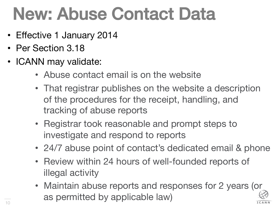## New: Abuse Contact Data!

- Effective 1 January 2014
- Per Section 3.18
- ICANN may validate:
	- Abuse contact email is on the website
	- That registrar publishes on the website a description of the procedures for the receipt, handling, and tracking of abuse reports
	- Registrar took reasonable and prompt steps to investigate and respond to reports
	- 24/7 abuse point of contact's dedicated email & phone
	- Review within 24 hours of well-founded reports of illegal activity
	- Maintain abuse reports and responses for 2 years (or as permitted by applicable law)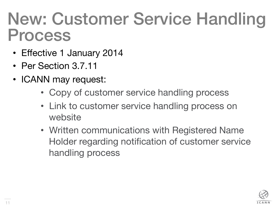#### New: Customer Service Handling Process

- Effective 1 January 2014
- Per Section 3.7.11
- ICANN may request:
	- Copy of customer service handling process
	- Link to customer service handling process on website
	- Written communications with Registered Name Holder regarding notification of customer service handling process

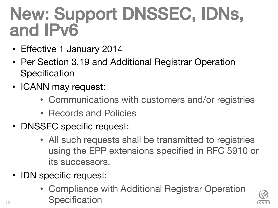### New: Support DNSSEC, IDNs, and IPv6! !

- Effective 1 January 2014
- Per Section 3.19 and Additional Registrar Operation **Specification**
- ICANN may request:
	- Communications with customers and/or registries
	- Records and Policies
- DNSSEC specific request:
	- All such requests shall be transmitted to registries using the EPP extensions specified in RFC 5910 or its successors.
- IDN specific request:
	- Compliance with Additional Registrar Operation **Specification**

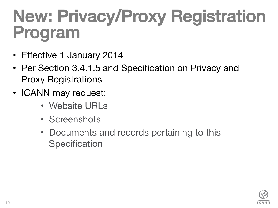## New: Privacy/Proxy Registration **Program**

- Effective 1 January 2014
- Per Section 3.4.1.5 and Specification on Privacy and Proxy Registrations
- ICANN may request:
	- Website URLs
	- Screenshots
	- Documents and records pertaining to this **Specification**

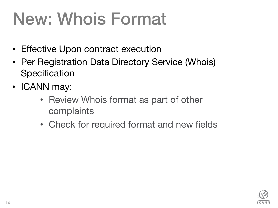## New: Whois Format

- Effective Upon contract execution
- Per Registration Data Directory Service (Whois) **Specification**
- ICANN may:
	- Review Whois format as part of other complaints
	- Check for required format and new fields

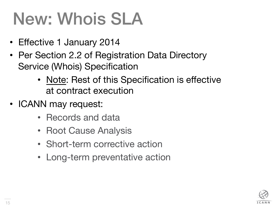## New: Whois SLA

- Effective 1 January 2014
- Per Section 2.2 of Registration Data Directory Service (Whois) Specification
	- Note: Rest of this Specification is effective at contract execution
- ICANN may request:
	- Records and data
	- Root Cause Analysis
	- Short-term corrective action
	- Long-term preventative action

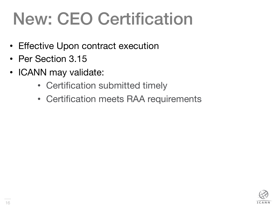## New: CEO Certification

- Effective Upon contract execution
- Per Section 3.15
- ICANN may validate:
	- Certification submitted timely
	- Certification meets RAA requirements

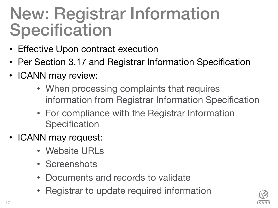#### New: Registrar Information **Specification**

- Effective Upon contract execution
- Per Section 3.17 and Registrar Information Specification
- ICANN may review:
	- When processing complaints that requires information from Registrar Information Specification
	- For compliance with the Registrar Information **Specification**
- ICANN may request:
	- Website URLs
	- Screenshots
	- Documents and records to validate
	- Registrar to update required information

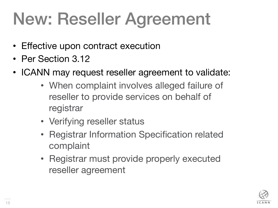## New: Reseller Agreement

- Effective upon contract execution
- Per Section 3.12
- ICANN may request reseller agreement to validate:
	- When complaint involves alleged failure of reseller to provide services on behalf of registrar
	- Verifying reseller status
	- Registrar Information Specification related complaint
	- Registrar must provide properly executed reseller agreement

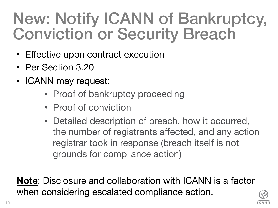#### New: Notify ICANN of Bankruptcy, Conviction or Security Breach

- Effective upon contract execution
- Per Section 3.20
- ICANN may request:
	- Proof of bankruptcy proceeding
	- Proof of conviction
	- Detailed description of breach, how it occurred, the number of registrants affected, and any action registrar took in response (breach itself is not grounds for compliance action)

**Note**: Disclosure and collaboration with ICANN is a factor when considering escalated compliance action.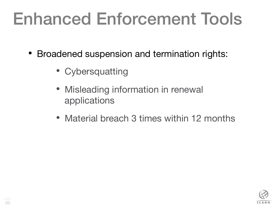## Enhanced Enforcement Tools

- Broadened suspension and termination rights:
	- Cybersquatting
	- Misleading information in renewal applications
	- Material breach 3 times within 12 months

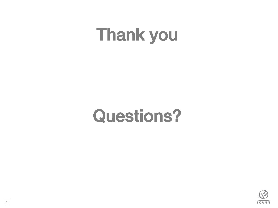## **Thank you**

### Questions?

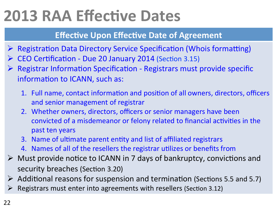#### **2013 RAA Effective Dates**

#### **Effective Upon Effective Date of Agreement**

- $\triangleright$  Registration Data Directory Service Specification (Whois formatting)
- CEO Certification Due 20 January 2014 (Section 3.15)
- Registrar Information Specification Registrars must provide specific information to ICANN, such as:
	- 1. Full name, contact information and position of all owners, directors, officers and senior management of registrar
	- 2. Whether owners, directors, officers or senior managers have been convicted of a misdemeanor or felony related to financial activities in the past ten years
	- 3. Name of ultimate parent entity and list of affiliated registrars
	- 4. Names of all of the resellers the registrar utilizes or benefits from
- $\triangleright$  Must provide notice to ICANN in 7 days of bankruptcy, convictions and security breaches (Section 3.20)
- $\triangleright$  Additional reasons for suspension and termination (Sections 5.5 and 5.7)
- Registrars must enter into agreements with resellers (Section 3.12)